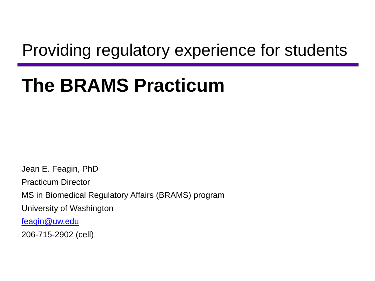### Providing regulatory experience for students

## **The BRAMS Practicum**

Jean E. Feagin, PhD Practicum Director MS in Biomedical Regulatory Affairs (BRAMS) program University of Washington [feagin@uw.edu](mailto:feagin@uw.edu) 206-715-2902 (cell)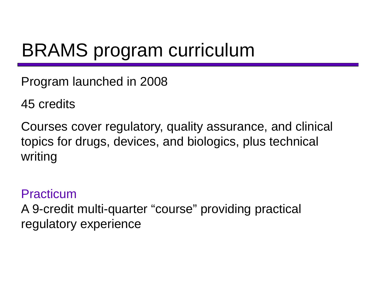## BRAMS program curriculum

Program launched in 2008

45 credits

Courses cover regulatory, quality assurance, and clinical topics for drugs, devices, and biologics, plus technical writing

#### Practicum

A 9-credit multi-quarter "course" providing practical regulatory experience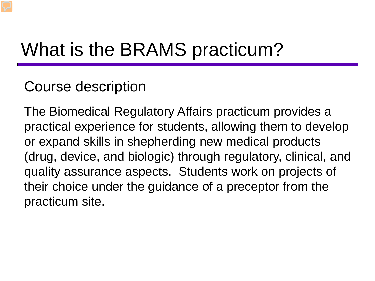### What is the BRAMS practicum?

### Course description

The Biomedical Regulatory Affairs practicum provides a practical experience for students, allowing them to develop or expand skills in shepherding new medical products (drug, device, and biologic) through regulatory, clinical, and quality assurance aspects. Students work on projects of their choice under the guidance of a preceptor from the practicum site.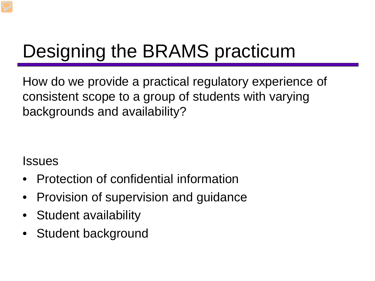# Designing the BRAMS practicum

How do we provide a practical regulatory experience of consistent scope to a group of students with varying backgrounds and availability?

#### Issues

- Protection of confidential information
- Provision of supervision and guidance
- Student availability
- Student background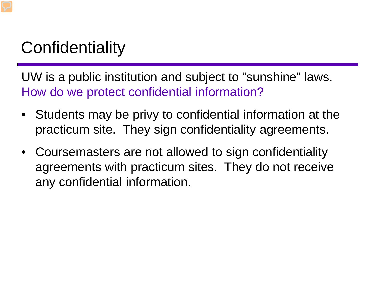### **Confidentiality**

UW is a public institution and subject to "sunshine" laws. How do we protect confidential information?

- Students may be privy to confidential information at the practicum site. They sign confidentiality agreements.
- Coursemasters are not allowed to sign confidentiality agreements with practicum sites. They do not receive any confidential information.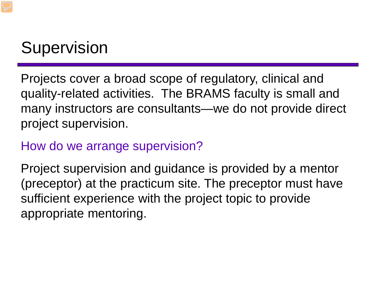### **Supervision**

Projects cover a broad scope of regulatory, clinical and quality-related activities. The BRAMS faculty is small and many instructors are consultants—we do not provide direct project supervision.

#### How do we arrange supervision?

Project supervision and guidance is provided by a mentor (preceptor) at the practicum site. The preceptor must have sufficient experience with the project topic to provide appropriate mentoring.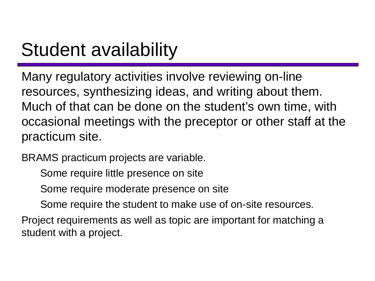## Student availability

Many regulatory activities involve reviewing on-line resources, synthesizing ideas, and writing about them. Much of that can be done on the student's own time, with occasional meetings with the preceptor or other staff at the practicum site.

BRAMS practicum projects are variable.

Some require little presence on site

Some require moderate presence on site

Some require the student to make use of on-site resources.

Project requirements as well as topic are important for matching a student with a project.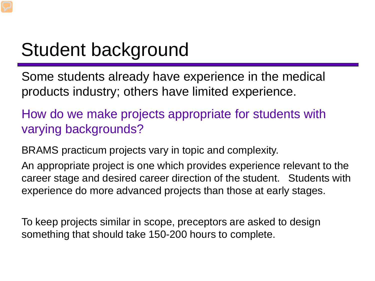## Student background

Some students already have experience in the medical products industry; others have limited experience.

How do we make projects appropriate for students with varying backgrounds?

BRAMS practicum projects vary in topic and complexity.

An appropriate project is one which provides experience relevant to the career stage and desired career direction of the student. Students with experience do more advanced projects than those at early stages.

To keep projects similar in scope, preceptors are asked to design something that should take 150-200 hours to complete.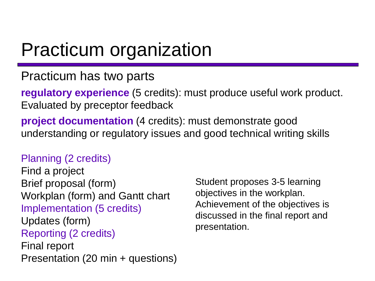### Practicum organization

#### Practicum has two parts

**regulatory experience** (5 credits): must produce useful work product. Evaluated by preceptor feedback

**project documentation** (4 credits): must demonstrate good understanding or regulatory issues and good technical writing skills

#### Planning (2 credits)

Find a project Brief proposal (form) Workplan (form) and Gantt chart Implementation (5 credits) Updates (form) Reporting (2 credits) Final report Presentation (20 min + questions)

Student proposes 3-5 learning objectives in the workplan. Achievement of the objectives is discussed in the final report and presentation.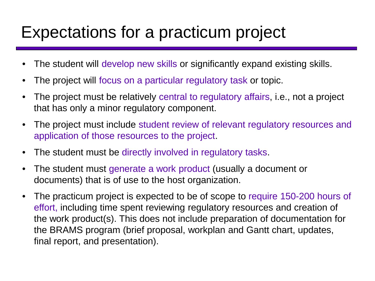### Expectations for a practicum project

- The student will develop new skills or significantly expand existing skills.
- The project will focus on a particular regulatory task or topic.
- The project must be relatively central to regulatory affairs, i.e., not a project that has only a minor regulatory component.
- The project must include student review of relevant regulatory resources and application of those resources to the project.
- The student must be directly involved in regulatory tasks.
- The student must generate a work product (usually a document or documents) that is of use to the host organization.
- The practicum project is expected to be of scope to require 150-200 hours of effort, including time spent reviewing regulatory resources and creation of the work product(s). This does not include preparation of documentation for the BRAMS program (brief proposal, workplan and Gantt chart, updates, final report, and presentation).